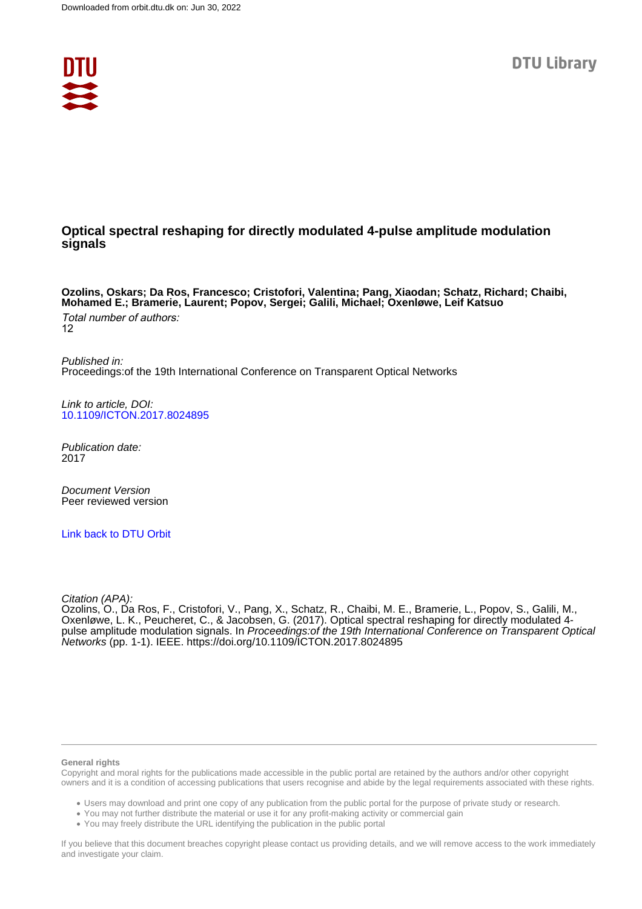

## **Optical spectral reshaping for directly modulated 4-pulse amplitude modulation signals**

**Ozolins, Oskars; Da Ros, Francesco; Cristofori, Valentina; Pang, Xiaodan; Schatz, Richard; Chaibi, Mohamed E.; Bramerie, Laurent; Popov, Sergei; Galili, Michael; Oxenløwe, Leif Katsuo** Total number of authors: 12

Published in: Proceedings:of the 19th International Conference on Transparent Optical Networks

Link to article, DOI: [10.1109/ICTON.2017.8024895](https://doi.org/10.1109/ICTON.2017.8024895)

Publication date: 2017

Document Version Peer reviewed version

[Link back to DTU Orbit](https://orbit.dtu.dk/en/publications/1b873b17-0501-42d2-bf6b-bd32e9e0338a)

Citation (APA):

Ozolins, O., Da Ros, F., Cristofori, V., Pang, X., Schatz, R., Chaibi, M. E., Bramerie, L., Popov, S., Galili, M., Oxenløwe, L. K., Peucheret, C., & Jacobsen, G. (2017). Optical spectral reshaping for directly modulated 4 pulse amplitude modulation signals. In Proceedings:of the 19th International Conference on Transparent Optical Networks (pp. 1-1). IEEE.<https://doi.org/10.1109/ICTON.2017.8024895>

#### **General rights**

Copyright and moral rights for the publications made accessible in the public portal are retained by the authors and/or other copyright owners and it is a condition of accessing publications that users recognise and abide by the legal requirements associated with these rights.

Users may download and print one copy of any publication from the public portal for the purpose of private study or research.

- You may not further distribute the material or use it for any profit-making activity or commercial gain
- You may freely distribute the URL identifying the publication in the public portal

If you believe that this document breaches copyright please contact us providing details, and we will remove access to the work immediately and investigate your claim.